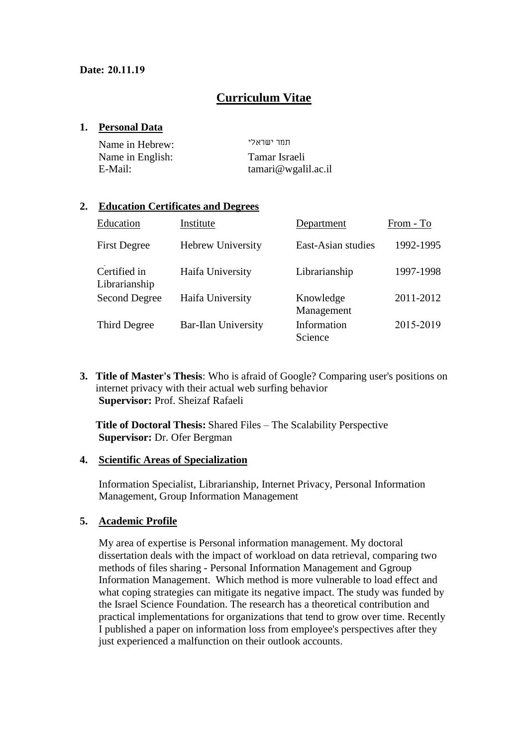## **Curriculum Vitae**

#### **1. Personal Data**

| Name in Hebrew:  | חחר יוווראלי       |
|------------------|--------------------|
| Name in English: | Tamar Israeli      |
| E-Mail:          | tamari@wgalil.ac.i |

#### **2. Education Certificates and Degrees**

| Education                     | Institute                  | Department              | From - To |
|-------------------------------|----------------------------|-------------------------|-----------|
| <b>First Degree</b>           | Hebrew University          | East-Asian studies      | 1992-1995 |
| Certified in<br>Librarianship | Haifa University           | Librarianship           | 1997-1998 |
| <b>Second Degree</b>          | Haifa University           | Knowledge<br>Management | 2011-2012 |
| Third Degree                  | <b>Bar-Ilan University</b> | Information<br>Science  | 2015-2019 |

**3. Title of Master's Thesis**: Who is afraid of Google? Comparing user's positions on internet privacy with their actual web surfing behavior **Supervisor:** Prof. Sheizaf Rafaeli

**Title of Doctoral Thesis:** Shared Files – The Scalability Perspective **Supervisor:** Dr. Ofer Bergman

#### **4. Scientific Areas of Specialization**

Information Specialist, Librarianship, Internet Privacy, Personal Information Management, Group Information Management

### **5. Academic Profile**

My area of expertise is Personal information management. My doctoral dissertation deals with the impact of workload on data retrieval, comparing two methods of files sharing - Personal Information Management and Ggroup Information Management. Which method is more vulnerable to load effect and what coping strategies can mitigate its negative impact. The study was funded by the Israel Science Foundation. The research has a theoretical contribution and practical implementations for organizations that tend to grow over time. Recently I published a paper on information loss from employee's perspectives after they just experienced a malfunction on their outlook accounts.